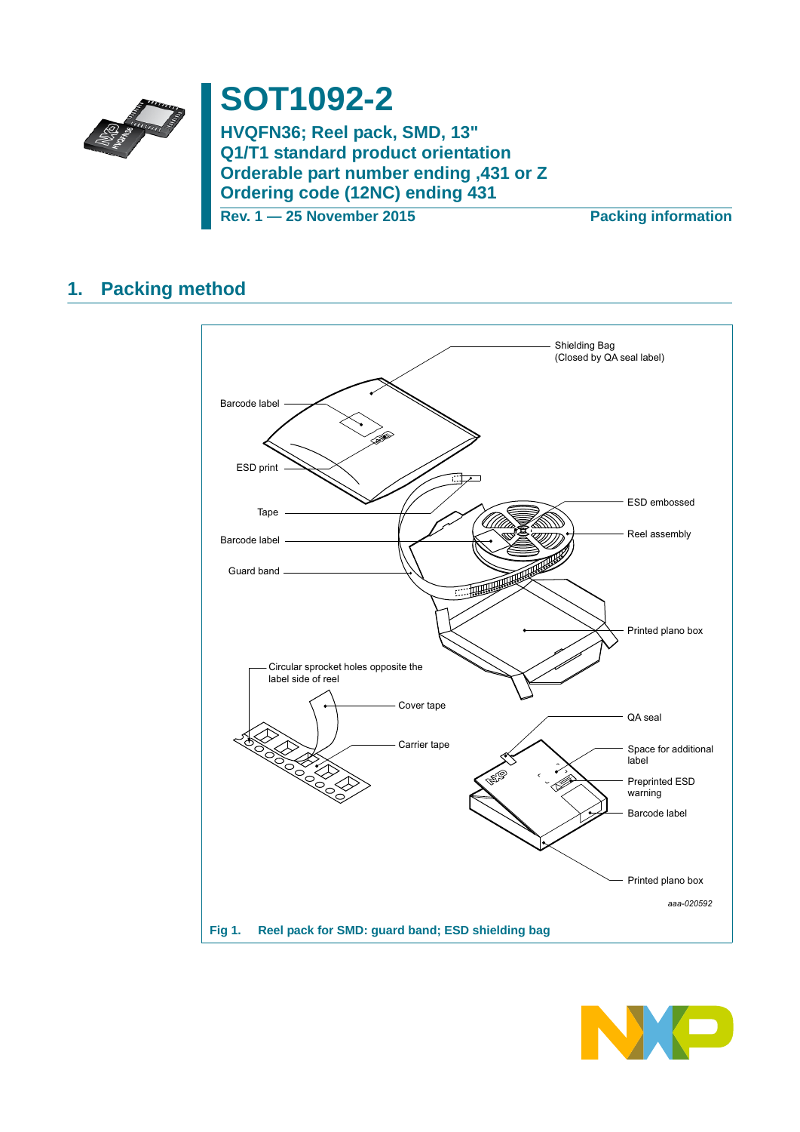

# **SOT1092-2**

**HVQFN36; Reel pack, SMD, 13" Q1/T1 standard product orientation Orderable part number ending ,431 or Z Ordering code (12NC) ending 431**

**Rev. 1 — 25 November 2015 Packing information**

### **1. Packing method**



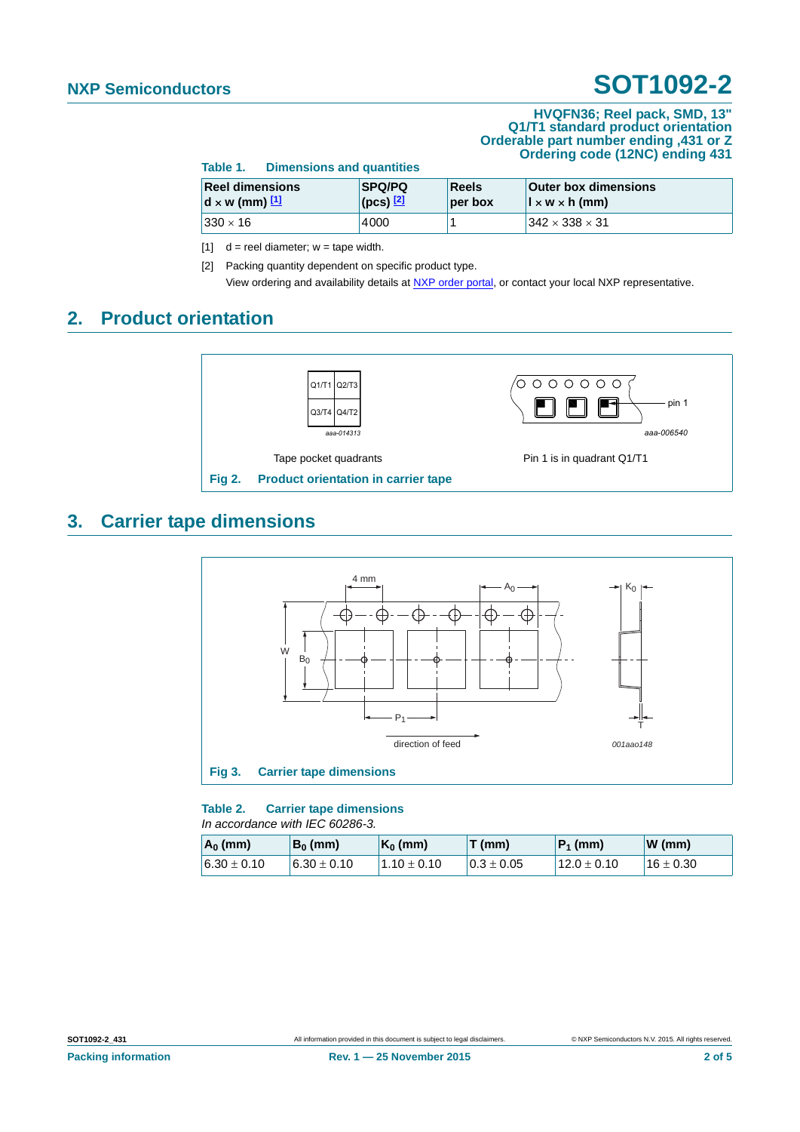#### **HVQFN36; Reel pack, SMD, 13" Q1/T1 standard product orientation Orderable part number ending ,431 or Z Ordering code (12NC) ending 431**

| Table T.<br><b>Dimensions and quantities</b>    |                                              |                  |                                                             |  |
|-------------------------------------------------|----------------------------------------------|------------------|-------------------------------------------------------------|--|
| <b>Reel dimensions</b><br>$d \times w$ (mm) $1$ | <b>SPQ/PQ</b><br>$ $ (pcs) $\frac{[2]}{[2]}$ | Reels<br>per box | <b>Outer box dimensions</b><br>$\vert x \, w \times h$ (mm) |  |
| $ 330 \times 16 $                               | 4000                                         |                  | $1342 \times 338 \times 31$                                 |  |

<span id="page-1-0"></span>[1]  $d =$  reel diameter;  $w =$  tape width.

**Table 1. Dimensions and quantities**

<span id="page-1-1"></span>[2] Packing quantity dependent on specific product type. View ordering and availability details at [NXP order portal](http://www.nxp.com/order-portal/), or contact your local NXP representative.

### **2. Product orientation**



### **3. Carrier tape dimensions**



**Table 2. Carrier tape dimensions** *In accordance with IEC 60286-3.*

| $A_0$ (mm)      | $B_0$ (mm)      | $K_0$ (mm)      | T(mm)          | $ P_1$ (mm)     | $W$ (mm)      |
|-----------------|-----------------|-----------------|----------------|-----------------|---------------|
| $6.30 \pm 0.10$ | $6.30 \pm 0.10$ | $1.10 \pm 0.10$ | $0.3 \pm 0.05$ | $12.0 \pm 0.10$ | $16 \pm 0.30$ |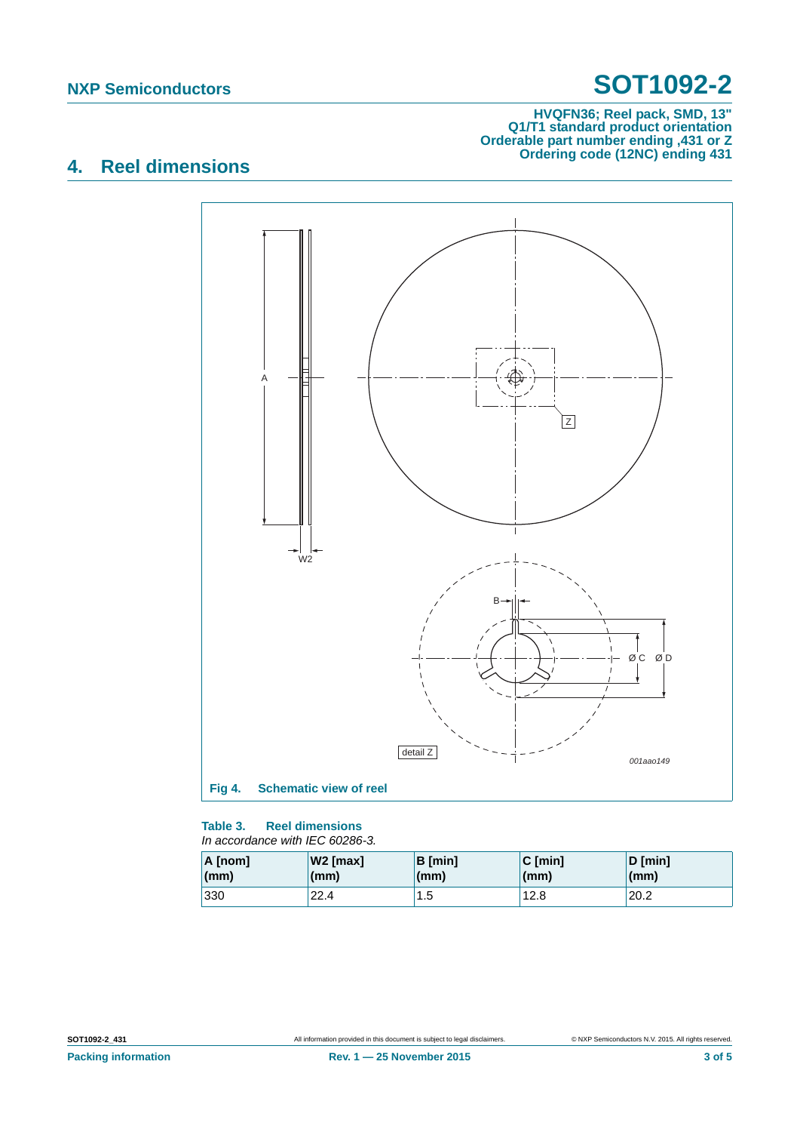#### **HVQFN36; Reel pack, SMD, 13" Q1/T1 standard product orientation Orderable part number ending ,431 or Z Ordering code (12NC) ending 431**

## **4. Reel dimensions**



#### **Table 3. Reel dimensions** *In accordance with IEC 60286-3.*

| A [nom] | $W2$ [max]   | B [min] | $C$ [min] | $D$ [min]    |
|---------|--------------|---------|-----------|--------------|
| (mm)    | $\mathsf{m}$ | (mm)    | (mm)      | $\mathsf{m}$ |
| 330     | 22.4         | 1.5     | 12.8      | 20.2         |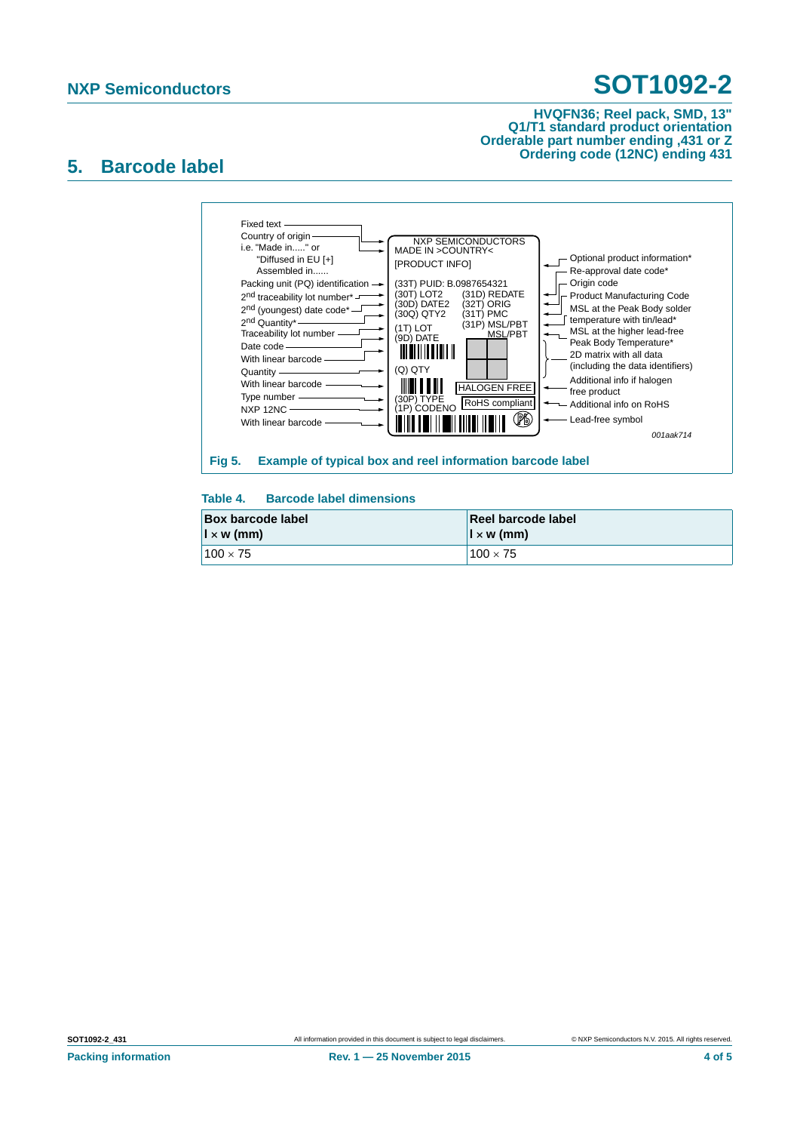#### **HVQFN36; Reel pack, SMD, 13" Q1/T1 standard product orientation Orderable part number ending ,431 or Z Ordering code (12NC) ending 431**

### **5. Barcode label**



### **Table 4. Barcode label dimensions**

| <b>Box barcode label</b> | Reel barcode label       |
|--------------------------|--------------------------|
| $\vert x \rangle$ (mm)   | $\vert x \rangle$ w (mm) |
| $100 \times 75$          | $100 \times 75$          |